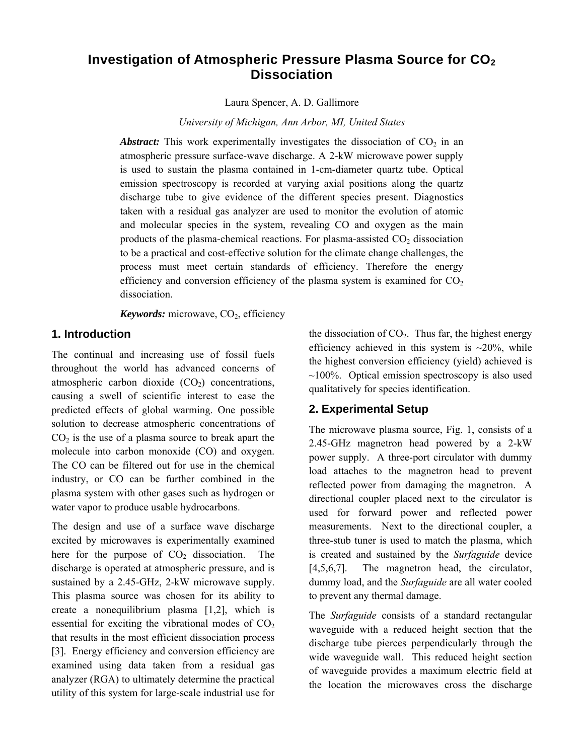# **Investigation of Atmospheric Pressure Plasma Source for CO<sub>2</sub> Dissociation**

Laura Spencer, A. D. Gallimore

*University of Michigan, Ann Arbor, MI, United States* 

**Abstract:** This work experimentally investigates the dissociation of  $CO<sub>2</sub>$  in an atmospheric pressure surface-wave discharge. A 2-kW microwave power supply is used to sustain the plasma contained in 1-cm-diameter quartz tube. Optical emission spectroscopy is recorded at varying axial positions along the quartz discharge tube to give evidence of the different species present. Diagnostics taken with a residual gas analyzer are used to monitor the evolution of atomic and molecular species in the system, revealing CO and oxygen as the main products of the plasma-chemical reactions. For plasma-assisted  $CO<sub>2</sub>$  dissociation to be a practical and cost-effective solution for the climate change challenges, the process must meet certain standards of efficiency. Therefore the energy efficiency and conversion efficiency of the plasma system is examined for  $CO<sub>2</sub>$ dissociation.

*Keywords:* microwave, CO<sub>2</sub>, efficiency

# **1. Introduction**

The continual and increasing use of fossil fuels throughout the world has advanced concerns of atmospheric carbon dioxide  $(CO<sub>2</sub>)$  concentrations, causing a swell of scientific interest to ease the predicted effects of global warming. One possible solution to decrease atmospheric concentrations of  $CO<sub>2</sub>$  is the use of a plasma source to break apart the molecule into carbon monoxide (CO) and oxygen. The CO can be filtered out for use in the chemical industry, or CO can be further combined in the plasma system with other gases such as hydrogen or water vapor to produce usable hydrocarbons.

The design and use of a surface wave discharge excited by microwaves is experimentally examined here for the purpose of  $CO<sub>2</sub>$  dissociation. The discharge is operated at atmospheric pressure, and is sustained by a 2.45-GHz, 2-kW microwave supply. This plasma source was chosen for its ability to create a nonequilibrium plasma [1,2], which is essential for exciting the vibrational modes of  $CO<sub>2</sub>$ that results in the most efficient dissociation process [3]. Energy efficiency and conversion efficiency are examined using data taken from a residual gas analyzer (RGA) to ultimately determine the practical utility of this system for large-scale industrial use for the dissociation of  $CO<sub>2</sub>$ . Thus far, the highest energy efficiency achieved in this system is  $\sim$ 20%, while the highest conversion efficiency (yield) achieved is  $\sim$ 100%. Optical emission spectroscopy is also used qualitatively for species identification.

# **2. Experimental Setup**

The microwave plasma source, Fig. 1, consists of a 2.45-GHz magnetron head powered by a 2-kW power supply. A three-port circulator with dummy load attaches to the magnetron head to prevent reflected power from damaging the magnetron. A directional coupler placed next to the circulator is used for forward power and reflected power measurements. Next to the directional coupler, a three-stub tuner is used to match the plasma, which is created and sustained by the *Surfaguide* device [4,5,6,7]. The magnetron head, the circulator, dummy load, and the *Surfaguide* are all water cooled to prevent any thermal damage.

The *Surfaguide* consists of a standard rectangular waveguide with a reduced height section that the discharge tube pierces perpendicularly through the wide waveguide wall. This reduced height section of waveguide provides a maximum electric field at the location the microwaves cross the discharge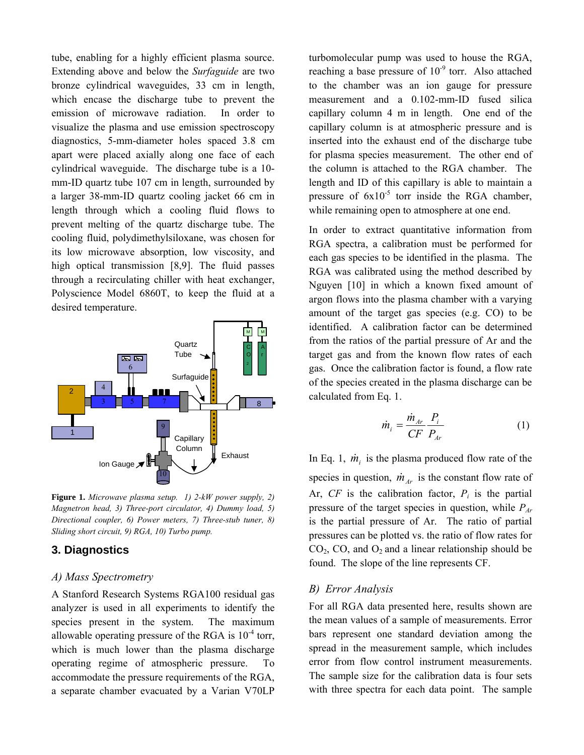tube, enabling for a highly efficient plasma source. Extending above and below the *Surfaguide* are two bronze cylindrical waveguides, 33 cm in length, which encase the discharge tube to prevent the emission of microwave radiation. In order to visualize the plasma and use emission spectroscopy diagnostics, 5-mm-diameter holes spaced 3.8 cm apart were placed axially along one face of each cylindrical waveguide. The discharge tube is a 10 mm-ID quartz tube 107 cm in length, surrounded by a larger 38-mm-ID quartz cooling jacket 66 cm in length through which a cooling fluid flows to prevent melting of the quartz discharge tube. The cooling fluid, polydimethylsiloxane, was chosen for its low microwave absorption, low viscosity, and high optical transmission [8,9]. The fluid passes through a recirculating chiller with heat exchanger, Polyscience Model 6860T, to keep the fluid at a desired temperature.



**Figure 1.** *Microwave plasma setup. 1) 2-kW power supply, 2) Magnetron head, 3) Three-port circulator, 4) Dummy load, 5) Directional coupler, 6) Power meters, 7) Three-stub tuner, 8) Sliding short circuit, 9) RGA, 10) Turbo pump.*

# **3. Diagnostics**

#### *A) Mass Spectrometry*

A Stanford Research Systems RGA100 residual gas analyzer is used in all experiments to identify the species present in the system. The maximum allowable operating pressure of the RGA is  $10^{-4}$  torr, which is much lower than the plasma discharge operating regime of atmospheric pressure. To accommodate the pressure requirements of the RGA, a separate chamber evacuated by a Varian V70LP

turbomolecular pump was used to house the RGA, reaching a base pressure of  $10^{-9}$  torr. Also attached to the chamber was an ion gauge for pressure measurement and a 0.102-mm-ID fused silica capillary column 4 m in length. One end of the capillary column is at atmospheric pressure and is inserted into the exhaust end of the discharge tube for plasma species measurement. The other end of the column is attached to the RGA chamber. The length and ID of this capillary is able to maintain a pressure of  $6x10^{-5}$  torr inside the RGA chamber, while remaining open to atmosphere at one end.

In order to extract quantitative information from RGA spectra, a calibration must be performed for each gas species to be identified in the plasma. The RGA was calibrated using the method described by Nguyen [10] in which a known fixed amount of argon flows into the plasma chamber with a varying amount of the target gas species (e.g. CO) to be identified. A calibration factor can be determined from the ratios of the partial pressure of Ar and the target gas and from the known flow rates of each gas. Once the calibration factor is found, a flow rate of the species created in the plasma discharge can be calculated from Eq. 1.

$$
\dot{m}_i = \frac{\dot{m}_{Ar}}{CF} \frac{P_i}{P_{Ar}} \tag{1}
$$

In Eq. 1,  $\dot{m}_i$  is the plasma produced flow rate of the species in question,  $\dot{m}_{Ar}$  is the constant flow rate of Ar,  $CF$  is the calibration factor,  $P_i$  is the partial pressure of the target species in question, while *PAr* is the partial pressure of Ar. The ratio of partial pressures can be plotted vs. the ratio of flow rates for  $CO<sub>2</sub>$ ,  $CO<sub>2</sub>$  and  $O<sub>2</sub>$  and a linear relationship should be found. The slope of the line represents CF.

#### *B) Error Analysis*

For all RGA data presented here, results shown are the mean values of a sample of measurements. Error bars represent one standard deviation among the spread in the measurement sample, which includes error from flow control instrument measurements. The sample size for the calibration data is four sets with three spectra for each data point. The sample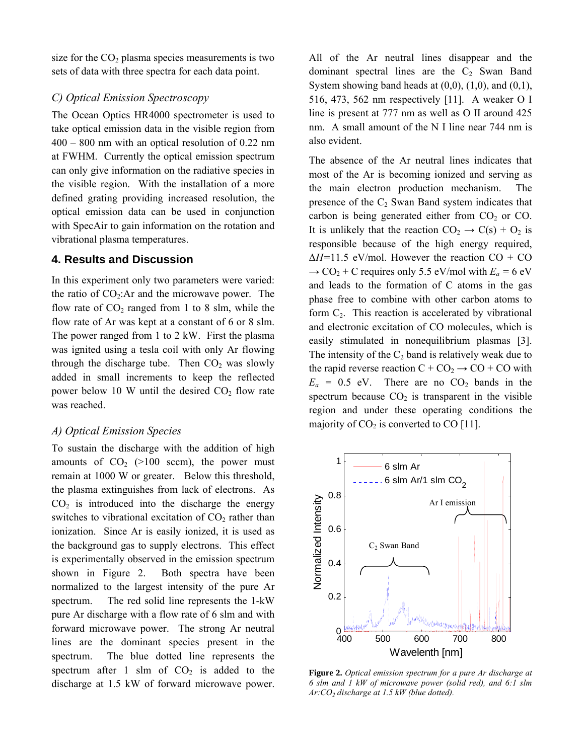size for the  $CO<sub>2</sub>$  plasma species measurements is two sets of data with three spectra for each data point.

#### *C) Optical Emission Spectroscopy*

The Ocean Optics HR4000 spectrometer is used to take optical emission data in the visible region from 400 – 800 nm with an optical resolution of 0.22 nm at FWHM. Currently the optical emission spectrum can only give information on the radiative species in the visible region. With the installation of a more defined grating providing increased resolution, the optical emission data can be used in conjunction with SpecAir to gain information on the rotation and vibrational plasma temperatures.

#### **4. Results and Discussion**

In this experiment only two parameters were varied: the ratio of  $CO<sub>2</sub>$ :Ar and the microwave power. The flow rate of  $CO<sub>2</sub>$  ranged from 1 to 8 slm, while the flow rate of Ar was kept at a constant of 6 or 8 slm. The power ranged from 1 to 2 kW. First the plasma was ignited using a tesla coil with only Ar flowing through the discharge tube. Then  $CO<sub>2</sub>$  was slowly added in small increments to keep the reflected power below 10 W until the desired  $CO<sub>2</sub>$  flow rate was reached.

#### *A) Optical Emission Species*

To sustain the discharge with the addition of high amounts of  $CO<sub>2</sub>$  (>100 sccm), the power must remain at 1000 W or greater. Below this threshold, the plasma extinguishes from lack of electrons. As  $CO<sub>2</sub>$  is introduced into the discharge the energy switches to vibrational excitation of  $CO<sub>2</sub>$  rather than ionization. Since Ar is easily ionized, it is used as the background gas to supply electrons. This effect is experimentally observed in the emission spectrum shown in Figure 2. Both spectra have been normalized to the largest intensity of the pure Ar spectrum. The red solid line represents the 1-kW pure Ar discharge with a flow rate of 6 slm and with forward microwave power. The strong Ar neutral lines are the dominant species present in the spectrum. The blue dotted line represents the spectrum after 1 slm of  $CO<sub>2</sub>$  is added to the discharge at 1.5 kW of forward microwave power.

All of the Ar neutral lines disappear and the dominant spectral lines are the  $C_2$  Swan Band System showing band heads at  $(0,0)$ ,  $(1,0)$ , and  $(0,1)$ , 516, 473, 562 nm respectively [11]. A weaker O I line is present at 777 nm as well as O II around 425 nm. A small amount of the N I line near 744 nm is also evident.

The absence of the Ar neutral lines indicates that most of the Ar is becoming ionized and serving as the main electron production mechanism. The presence of the  $C_2$  Swan Band system indicates that carbon is being generated either from  $CO<sub>2</sub>$  or  $CO<sub>2</sub>$ . It is unlikely that the reaction  $CO_2 \rightarrow C(s) + O_2$  is responsible because of the high energy required, Δ*H=*11.5 eV/mol. However the reaction CO + CO  $\rightarrow$  CO<sub>2</sub> + C requires only 5.5 eV/mol with  $E_a$  = 6 eV and leads to the formation of C atoms in the gas phase free to combine with other carbon atoms to form  $C_2$ . This reaction is accelerated by vibrational and electronic excitation of CO molecules, which is easily stimulated in nonequilibrium plasmas [3]. The intensity of the  $C_2$  band is relatively weak due to the rapid reverse reaction  $C + CO_2 \rightarrow CO + CO$  with  $E_a = 0.5$  eV. There are no  $CO_2$  bands in the spectrum because  $CO<sub>2</sub>$  is transparent in the visible region and under these operating conditions the majority of  $CO<sub>2</sub>$  is converted to CO [11].



**Figure 2.** *Optical emission spectrum for a pure Ar discharge at 6 slm and 1 kW of microwave power (solid red), and 6:1 slm Ar:CO2 discharge at 1.5 kW (blue dotted).*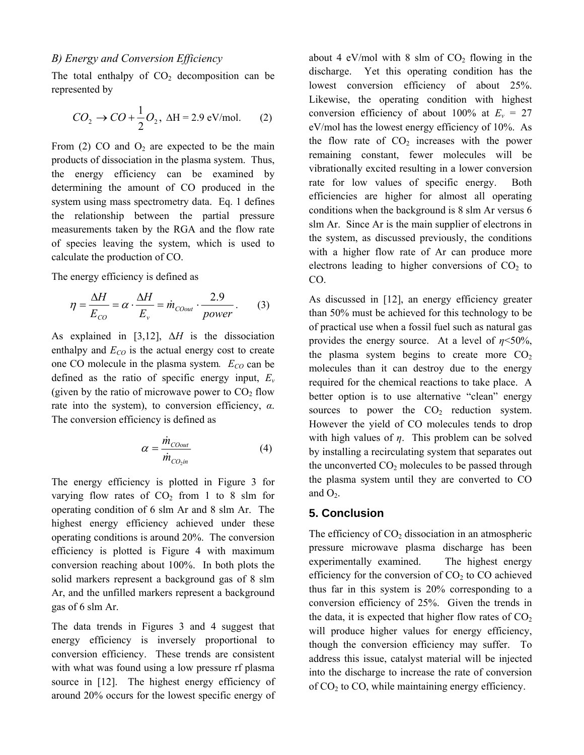The total enthalpy of  $CO<sub>2</sub>$  decomposition can be represented by

$$
CO_2 \rightarrow CO + \frac{1}{2}O_2, \ \Delta H = 2.9 \text{ eV/mol.}
$$
 (2)

From (2) CO and  $O_2$  are expected to be the main products of dissociation in the plasma system. Thus, the energy efficiency can be examined by determining the amount of CO produced in the system using mass spectrometry data. Eq. 1 defines the relationship between the partial pressure measurements taken by the RGA and the flow rate of species leaving the system, which is used to calculate the production of CO.

The energy efficiency is defined as

$$
\eta = \frac{\Delta H}{E_{CO}} = \alpha \cdot \frac{\Delta H}{E_v} = \dot{m}_{C0out} \cdot \frac{2.9}{power} \,. \tag{3}
$$

As explained in [3,12], Δ*H* is the dissociation enthalpy and  $E_{CO}$  is the actual energy cost to create one CO molecule in the plasma system.  $E_{CO}$  can be defined as the ratio of specific energy input, *Ev* (given by the ratio of microwave power to  $CO<sub>2</sub>$  flow rate into the system), to conversion efficiency, *α*. The conversion efficiency is defined as

$$
\alpha = \frac{\dot{m}_{\text{C0out}}}{\dot{m}_{\text{C0}_2}} \tag{4}
$$

The energy efficiency is plotted in Figure 3 for varying flow rates of  $CO<sub>2</sub>$  from 1 to 8 slm for operating condition of 6 slm Ar and 8 slm Ar. The highest energy efficiency achieved under these operating conditions is around 20%. The conversion efficiency is plotted is Figure 4 with maximum conversion reaching about 100%. In both plots the solid markers represent a background gas of 8 slm Ar, and the unfilled markers represent a background gas of 6 slm Ar.

The data trends in Figures 3 and 4 suggest that energy efficiency is inversely proportional to conversion efficiency. These trends are consistent with what was found using a low pressure rf plasma source in [12]. The highest energy efficiency of around 20% occurs for the lowest specific energy of

about 4 eV/mol with 8 slm of  $CO<sub>2</sub>$  flowing in the discharge. Yet this operating condition has the lowest conversion efficiency of about 25%. Likewise, the operating condition with highest conversion efficiency of about 100% at  $E_v = 27$ eV/mol has the lowest energy efficiency of 10%. As the flow rate of  $CO<sub>2</sub>$  increases with the power remaining constant, fewer molecules will be vibrationally excited resulting in a lower conversion rate for low values of specific energy. Both efficiencies are higher for almost all operating conditions when the background is 8 slm Ar versus 6 slm Ar. Since Ar is the main supplier of electrons in the system, as discussed previously, the conditions with a higher flow rate of Ar can produce more electrons leading to higher conversions of  $CO<sub>2</sub>$  to CO.

As discussed in [12], an energy efficiency greater than 50% must be achieved for this technology to be of practical use when a fossil fuel such as natural gas provides the energy source. At a level of  $n \le 50\%$ , the plasma system begins to create more  $CO<sub>2</sub>$ molecules than it can destroy due to the energy required for the chemical reactions to take place. A better option is to use alternative "clean" energy sources to power the  $CO<sub>2</sub>$  reduction system. However the yield of CO molecules tends to drop with high values of *η*. This problem can be solved by installing a recirculating system that separates out the unconverted  $CO<sub>2</sub>$  molecules to be passed through the plasma system until they are converted to CO and  $O<sub>2</sub>$ .

# **5. Conclusion**

The efficiency of  $CO<sub>2</sub>$  dissociation in an atmospheric pressure microwave plasma discharge has been experimentally examined. The highest energy efficiency for the conversion of  $CO<sub>2</sub>$  to  $CO$  achieved thus far in this system is 20% corresponding to a conversion efficiency of 25%. Given the trends in the data, it is expected that higher flow rates of  $CO<sub>2</sub>$ will produce higher values for energy efficiency, though the conversion efficiency may suffer. To address this issue, catalyst material will be injected into the discharge to increase the rate of conversion of  $CO<sub>2</sub>$  to  $CO<sub>2</sub>$ , while maintaining energy efficiency.